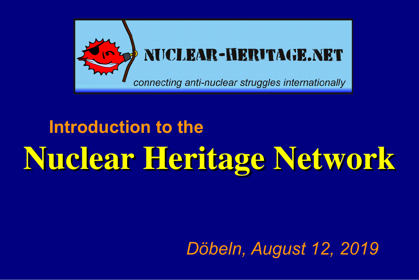

## Nuclear Heritage Network **Introduction to the**

#### *Döbeln, August 12, 2019*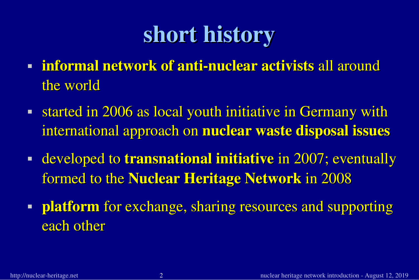### short history

- **Finformal network of anti-nuclear activists all around** the world
- started in 2006 as local youth initiative in Germany with international approach on nuclear waste disposal issues
- **developed to transnational initiative in 2007; eventually** formed to the Nuclear Heritage Network in 2008
- **Platform** for exchange, sharing resources and supporting each other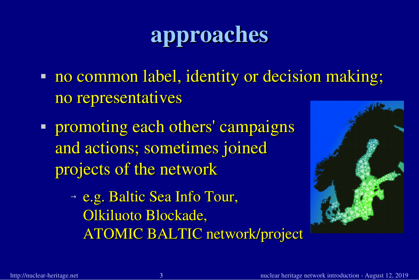### approaches

- **no common label, identity or decision making;** no representatives
- **Promoting each others' campaigns** and actions; sometimes joined projects of the network
	- <sup>→</sup> e.g. Baltic Sea Info Tour, Olkiluoto Blockade, ATOMIC BALTIC network/project

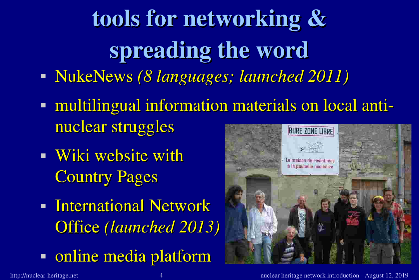tools for networking & spreading the word

- NukeNews *(8 languages; launched 2011)*
- multilingual information materials on local antinuclear struggles **BURE ZONE LIBRE**
- **Wiki website with Country Pages**
- **International Network** Office *(launched 2013)*
- online media platform

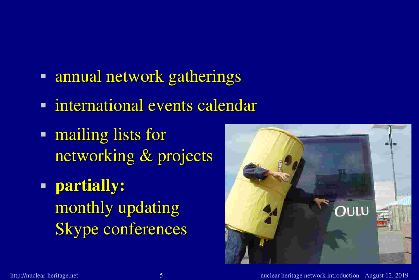- **Formual network gatherings**
- nternational events calendar
- **nailing lists for** networking & projects
- partially: monthly updating Skype conferences

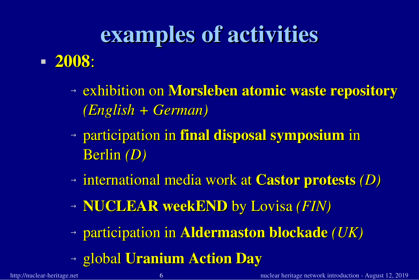### examples of activities

- <sup>→</sup> exhibition on Morsleben atomic waste repository *(English + German)*
- <sup>→</sup> participation in final disposal symposium in Berlin *(D)*
- <sup>→</sup> international media work at Castor protests *(D)*
- <sup>→</sup> NUCLEAR weekEND by Lovisa *(FIN)*
- <sup>→</sup> participation in Aldermaston blockade *(UK)*
- <sup>→</sup> global Uranium Action Day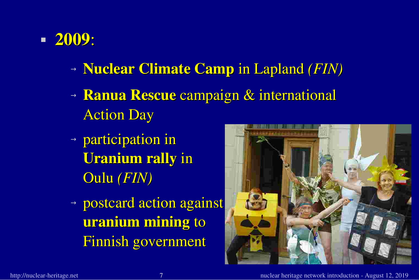- <sup>→</sup> Nuclear Climate Camp in Lapland *(FIN)*
- <sup>→</sup> Ranua Rescue campaign & international Action Day
- <sup>→</sup> participation in Uranium rally in Oulu *(FIN)*
- <sup>→</sup> postcard action against uranium mining to Finnish government

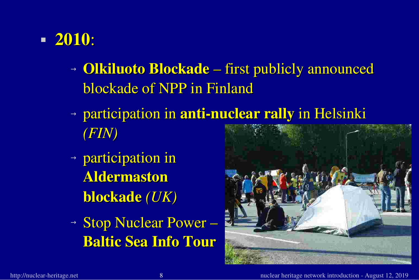- <sup>→</sup> Olkiluoto Blockade first publicly announced blockade of NPP in Finland
- $\rightarrow$  participation in anti-nuclear rally in Helsinki *(FIN)*
- <sup>→</sup> participation in Aldermaston blockade *(UK)*
- <sup>→</sup> Stop Nuclear Power Baltic Sea Info Tour

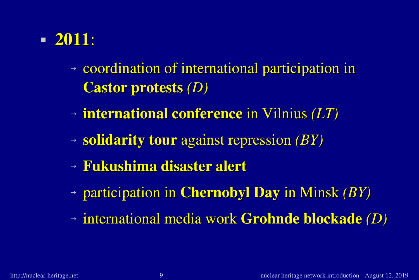- <sup>→</sup> coordination of international participation in Castor protests *(D)*
- <sup>→</sup> international conference in Vilnius *(LT)*
- <sup>→</sup> solidarity tour against repression *(BY)*
- <sup>→</sup> Fukushima disaster alert
- <sup>→</sup> participation in Chernobyl Day in Minsk *(BY)*
- <sup>→</sup> international media work Grohnde blockade *(D)*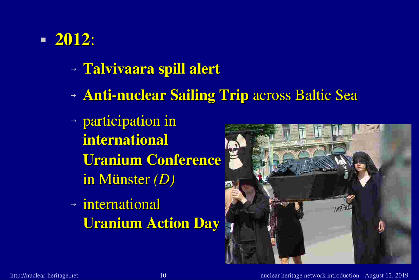- <sup>→</sup> Talvivaara spill alert
- → **Anti-nuclear Sailing Trip** across Baltic Sea
- <sup>→</sup> participation in international Uranium Conference in Münster *(D)*
- <sup>→</sup> international Uranium Action Day

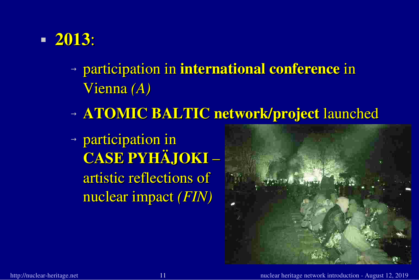

- <sup>→</sup> participation in international conference in Vienna *(A)*
- <sup>→</sup> ATOMIC BALTIC network/project launched
- <sup>→</sup> participation in CASE PYHÄJOKI – artistic reflections of nuclear impact *(FIN)*

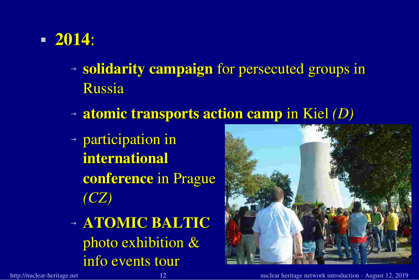- <sup>→</sup> solidarity campaign for persecuted groups in Russia
- <sup>→</sup> atomic transports action camp in Kiel *(D)*
- <sup>→</sup> participation in international conference in Prague *(CZ)*
- <sup>→</sup> ATOMIC BALTIC photo exhibition & info events tour

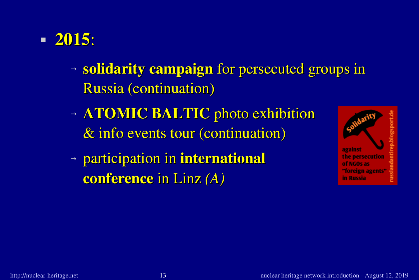- <sup>→</sup> solidarity campaign for persecuted groups in Russia (continuation)
- <sup>→</sup> ATOMIC BALTIC photo exhibition & info events tour (continuation)
- <sup>→</sup> participation in international conference in Linz *(A)*

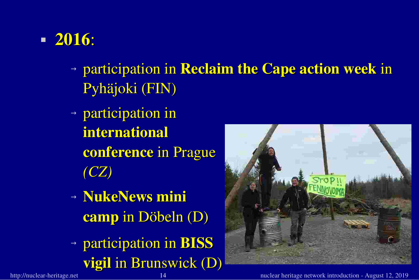- <sup>→</sup> participation in Reclaim the Cape action week in Pyhäjoki (FIN)
- <sup>→</sup> participation in international conference in Prague *(CZ)*
- <sup>→</sup> NukeNews mini camp in Döbeln (D)
- <sup>→</sup> participation in BISS vigil in Brunswick (D)



http://nuclear-heritage.net 14 and 14 and 14 and 14 and 14 and 14 and 14 and 14 and 15, 2019 14 and 12, 2019 1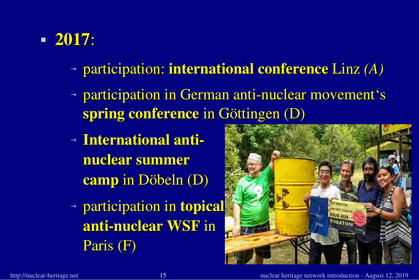- <sup>→</sup> participation: international conference Linz *(A)*
- $\rightarrow$  participation in German anti-nuclear movement's spring conference in Göttingen (D)
- <sup>→</sup> International antinuclear summer camp in Döbeln (D)
- <sup>→</sup> participation in topical anti-nuclear WSF in Paris (F)

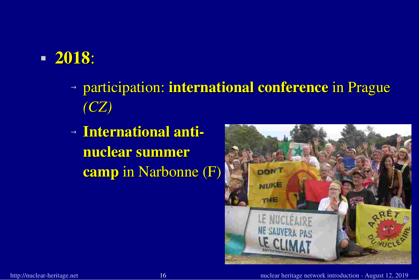- <sup>→</sup> participation: international conference in Prague *(CZ)*
- <sup>→</sup> International antinuclear summer camp in Narbonne (F)

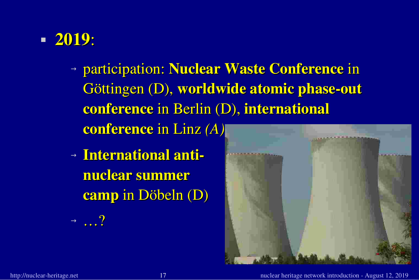- <sup>→</sup> participation: Nuclear Waste Conference in Göttingen (D), worldwide atomic phase-out conference in Berlin (D), international conference in Linz *(A)*
- <sup>→</sup> International antinuclear summer camp in Döbeln (D)



 $\rightarrow$   $\qquad$  ?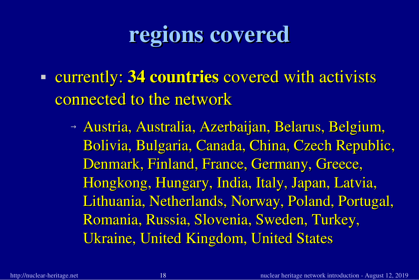### regions covered

- **Example 1 countries covered with activists** connected to the network
	- <sup>→</sup> Austria, Australia, Azerbaijan, Belarus, Belgium, Bolivia, Bulgaria, Canada, China, Czech Republic, Denmark, Finland, France, Germany, Greece, Hongkong, Hungary, India, Italy, Japan, Latvia, Lithuania, Netherlands, Norway, Poland, Portugal, Romania, Russia, Slovenia, Sweden, Turkey, Ukraine, United Kingdom, United States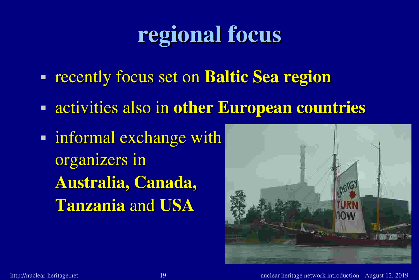### regional focus

- **recently focus set on Baltic Sea region**
- **Example 2 activities also in other European countries**
- **informal exchange with** organizers in Australia, Canada, Tanzania and USA

![](_page_18_Picture_4.jpeg)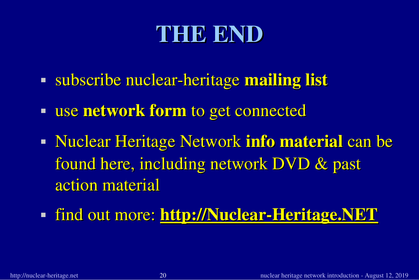### THE END

- I subscribe nuclear-heritage mailing list
- **use network form to get connected**
- Nuclear Heritage Network info material can be found here, including network DVD & past action material
- **find out more: http://Nuclear-Heritage.NET**